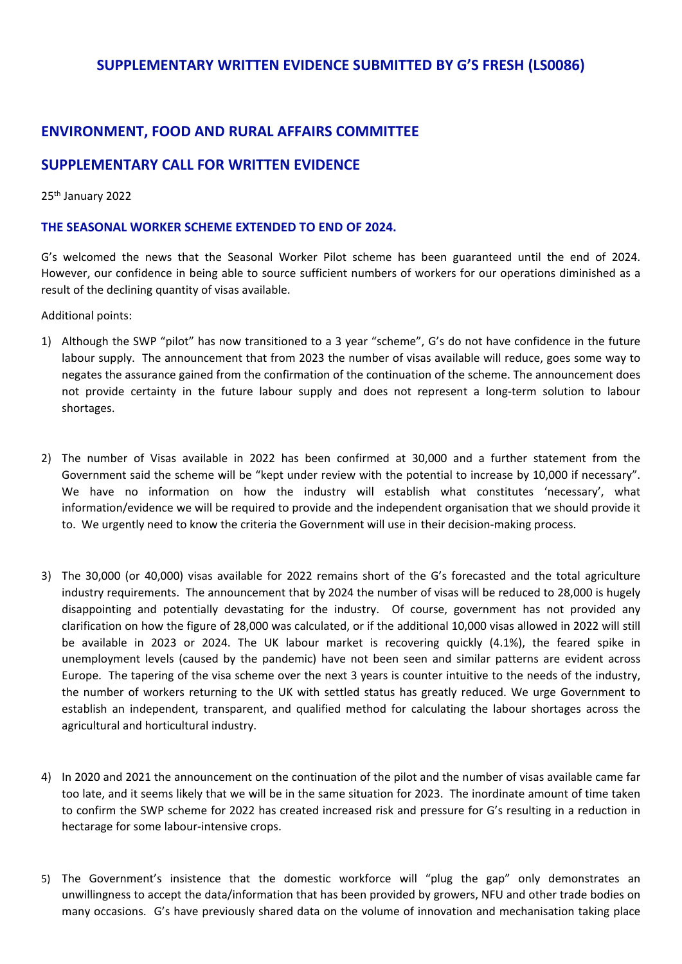### **SUPPLEMENTARY WRITTEN EVIDENCE SUBMITTED BY G'S FRESH (LS0086)**

# **ENVIRONMENT, FOOD AND RURAL AFFAIRS COMMITTEE**

## **SUPPLEMENTARY CALL FOR WRITTEN EVIDENCE**

#### 25th January 2022

#### **THE SEASONAL WORKER SCHEME EXTENDED TO END OF 2024.**

G's welcomed the news that the Seasonal Worker Pilot scheme has been guaranteed until the end of 2024. However, our confidence in being able to source sufficient numbers of workers for our operations diminished as a result of the declining quantity of visas available.

Additional points:

- 1) Although the SWP "pilot" has now transitioned to a 3 year "scheme", G's do not have confidence in the future labour supply. The announcement that from 2023 the number of visas available will reduce, goes some way to negates the assurance gained from the confirmation of the continuation of the scheme. The announcement does not provide certainty in the future labour supply and does not represent a long-term solution to labour shortages.
- 2) The number of Visas available in 2022 has been confirmed at 30,000 and a further statement from the Government said the scheme will be "kept under review with the potential to increase by 10,000 if necessary". We have no information on how the industry will establish what constitutes 'necessary', what information/evidence we will be required to provide and the independent organisation that we should provide it to. We urgently need to know the criteria the Government will use in their decision-making process.
- 3) The 30,000 (or 40,000) visas available for 2022 remains short of the G's forecasted and the total agriculture industry requirements. The announcement that by 2024 the number of visas will be reduced to 28,000 is hugely disappointing and potentially devastating for the industry. Of course, government has not provided any clarification on how the figure of 28,000 was calculated, or if the additional 10,000 visas allowed in 2022 will still be available in 2023 or 2024. The UK labour market is recovering quickly (4.1%), the feared spike in unemployment levels (caused by the pandemic) have not been seen and similar patterns are evident across Europe. The tapering of the visa scheme over the next 3 years is counter intuitive to the needs of the industry, the number of workers returning to the UK with settled status has greatly reduced. We urge Government to establish an independent, transparent, and qualified method for calculating the labour shortages across the agricultural and horticultural industry.
- 4) In 2020 and 2021 the announcement on the continuation of the pilot and the number of visas available came far too late, and it seems likely that we will be in the same situation for 2023. The inordinate amount of time taken to confirm the SWP scheme for 2022 has created increased risk and pressure for G's resulting in a reduction in hectarage for some labour-intensive crops.
- 5) The Government's insistence that the domestic workforce will "plug the gap" only demonstrates an unwillingness to accept the data/information that has been provided by growers, NFU and other trade bodies on many occasions. G's have previously shared data on the volume of innovation and mechanisation taking place